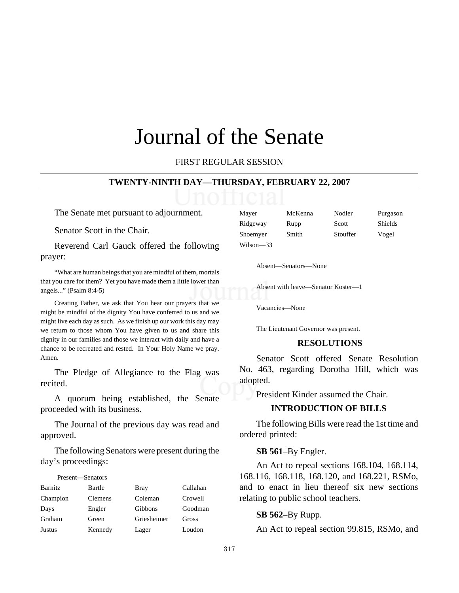# Journal of the Senate

FIRST REGULAR SESSION

#### **TWENTY-NINTH DAY—THURSDAY, FEBRUARY 22, 2007**

The Senate met pursuant to adjournment.

Senator Scott in the Chair.

Reverend Carl Gauck offered the following prayer:

"What are human beings that you are mindful of them, mortals that you care for them? Yet you have made them a little lower than angels..." (Psalm 8:4-5)

Creating Father, we ask that You hear our prayers that we might be mindful of the dignity You have conferred to us and we might live each day as such. As we finish up our work this day may we return to those whom You have given to us and share this dignity in our families and those we interact with daily and have a chance to be recreated and rested. In Your Holy Name we pray. Amen.

The Pledge of Allegiance to the Flag was recited.

A quorum being established, the Senate proceeded with its business.

The Journal of the previous day was read and approved.

The following Senators were present during the day's proceedings:

| Present—Senators |                |             |          |
|------------------|----------------|-------------|----------|
| <b>Barnitz</b>   | Bartle         | <b>Bray</b> | Callahan |
| Champion         | <b>Clemens</b> | Coleman     | Crowell  |
| Days             | Engler         | Gibbons     | Goodman  |
| Graham           | Green          | Griesheimer | Gross    |
| Justus           | Kennedy        | Lager       | Loudon   |

| Mayer     | McKenna | Nodler   | Purgason       |
|-----------|---------|----------|----------------|
| Ridgeway  | Rupp    | Scott    | <b>Shields</b> |
| Shoemyer  | Smith   | Stouffer | Vogel          |
| Wilson-33 |         |          |                |

Absent—Senators—None

Absent with leave—Senator Koster—1

Vacancies—None

The Lieutenant Governor was present.

#### **RESOLUTIONS**

Senator Scott offered Senate Resolution No. 463, regarding Dorotha Hill, which was adopted.

President Kinder assumed the Chair.

#### **INTRODUCTION OF BILLS**

The following Bills were read the 1st time and ordered printed:

#### **SB 561**–By Engler.

An Act to repeal sections 168.104, 168.114, 168.116, 168.118, 168.120, and 168.221, RSMo, and to enact in lieu thereof six new sections relating to public school teachers.

#### **SB 562**–By Rupp.

An Act to repeal section 99.815, RSMo, and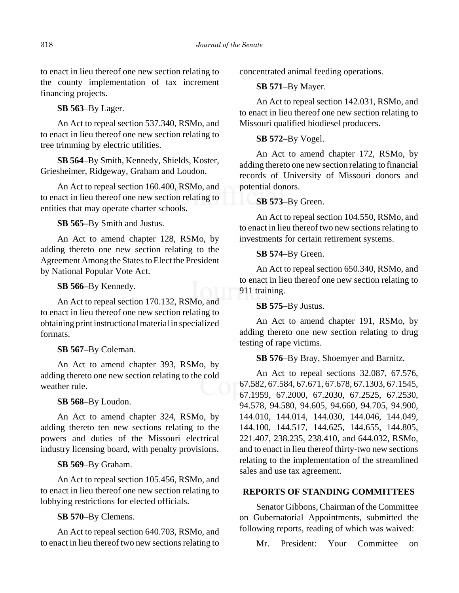to enact in lieu thereof one new section relating to the county implementation of tax increment financing projects.

**SB 563**–By Lager.

An Act to repeal section 537.340, RSMo, and to enact in lieu thereof one new section relating to tree trimming by electric utilities.

**SB 564**–By Smith, Kennedy, Shields, Koster, Griesheimer, Ridgeway, Graham and Loudon.

An Act to repeal section 160.400, RSMo, and to enact in lieu thereof one new section relating to entities that may operate charter schools.

**SB 565–**By Smith and Justus.

An Act to amend chapter 128, RSMo, by adding thereto one new section relating to the Agreement Among the States to Elect the President by National Popular Vote Act.

#### **SB 566–**By Kennedy.

An Act to repeal section 170.132, RSMo, and to enact in lieu thereof one new section relating to obtaining print instructional material in specialized formats.

#### **SB 567–**By Coleman.

An Act to amend chapter 393, RSMo, by adding thereto one new section relating to the cold weather rule.

**SB 568**–By Loudon.

An Act to amend chapter 324, RSMo, by adding thereto ten new sections relating to the powers and duties of the Missouri electrical industry licensing board, with penalty provisions.

#### **SB 569**–By Graham.

An Act to repeal section 105.456, RSMo, and to enact in lieu thereof one new section relating to lobbying restrictions for elected officials.

**SB 570**–By Clemens.

An Act to repeal section 640.703, RSMo, and to enact in lieu thereof two new sections relating to concentrated animal feeding operations.

#### **SB 571**–By Mayer.

An Act to repeal section 142.031, RSMo, and to enact in lieu thereof one new section relating to Missouri qualified biodiesel producers.

#### **SB 572**–By Vogel.

An Act to amend chapter 172, RSMo, by adding thereto one new section relating to financial records of University of Missouri donors and potential donors.

#### **SB 573**–By Green.

An Act to repeal section 104.550, RSMo, and to enact in lieu thereof two new sections relating to investments for certain retirement systems.

#### **SB 574**–By Green.

An Act to repeal section 650.340, RSMo, and to enact in lieu thereof one new section relating to 911 training.

**SB 575**–By Justus.

An Act to amend chapter 191, RSMo, by adding thereto one new section relating to drug testing of rape victims.

#### **SB 576**–By Bray, Shoemyer and Barnitz.

An Act to repeal sections 32.087, 67.576, 67.582, 67.584, 67.671, 67.678, 67.1303, 67.1545, 67.1959, 67.2000, 67.2030, 67.2525, 67.2530, 94.578, 94.580, 94.605, 94.660, 94.705, 94.900, 144.010, 144.014, 144.030, 144.046, 144.049, 144.100, 144.517, 144.625, 144.655, 144.805, 221.407, 238.235, 238.410, and 644.032, RSMo, and to enact in lieu thereof thirty-two new sections relating to the implementation of the streamlined sales and use tax agreement.

# **REPORTS OF STANDING COMMITTEES**

Senator Gibbons, Chairman of the Committee on Gubernatorial Appointments, submitted the following reports, reading of which was waived:

Mr. President: Your Committee on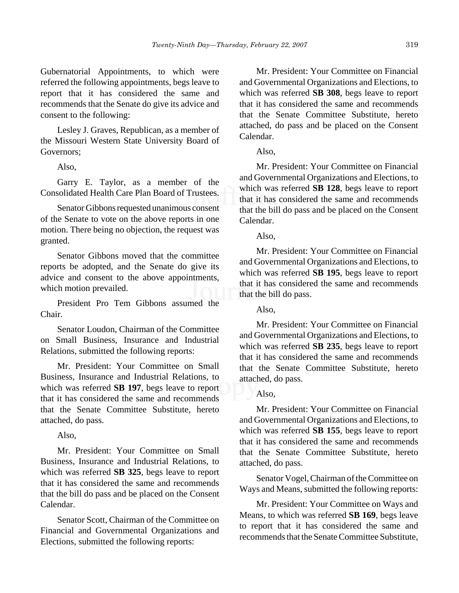Gubernatorial Appointments, to which were referred the following appointments, begs leave to report that it has considered the same and recommends that the Senate do give its advice and consent to the following:

Lesley J. Graves, Republican, as a member of the Missouri Western State University Board of Governors;

Also,

Garry E. Taylor, as a member of the Consolidated Health Care Plan Board of Trustees.

Senator Gibbons requested unanimous consent of the Senate to vote on the above reports in one motion. There being no objection, the request was granted.

Senator Gibbons moved that the committee reports be adopted, and the Senate do give its advice and consent to the above appointments, which motion prevailed.

President Pro Tem Gibbons assumed the Chair.

Senator Loudon, Chairman of the Committee on Small Business, Insurance and Industrial Relations, submitted the following reports:

Mr. President: Your Committee on Small Business, Insurance and Industrial Relations, to which was referred **SB 197**, begs leave to report that it has considered the same and recommends that the Senate Committee Substitute, hereto attached, do pass.

Also,

Mr. President: Your Committee on Small Business, Insurance and Industrial Relations, to which was referred **SB 325**, begs leave to report that it has considered the same and recommends that the bill do pass and be placed on the Consent Calendar.

Senator Scott, Chairman of the Committee on Financial and Governmental Organizations and Elections, submitted the following reports:

Mr. President: Your Committee on Financial and Governmental Organizations and Elections, to which was referred **SB 308**, begs leave to report that it has considered the same and recommends that the Senate Committee Substitute, hereto attached, do pass and be placed on the Consent Calendar.

Also,

Mr. President: Your Committee on Financial and Governmental Organizations and Elections, to which was referred **SB 128**, begs leave to report that it has considered the same and recommends that the bill do pass and be placed on the Consent Calendar.

Also,

Mr. President: Your Committee on Financial and Governmental Organizations and Elections, to which was referred **SB 195**, begs leave to report that it has considered the same and recommends that the bill do pass.

Also,

Mr. President: Your Committee on Financial and Governmental Organizations and Elections, to which was referred **SB 235**, begs leave to report that it has considered the same and recommends that the Senate Committee Substitute, hereto attached, do pass.

#### Also,

Mr. President: Your Committee on Financial and Governmental Organizations and Elections, to which was referred **SB 155**, begs leave to report that it has considered the same and recommends that the Senate Committee Substitute, hereto attached, do pass.

Senator Vogel, Chairman of the Committee on Ways and Means, submitted the following reports:

Mr. President: Your Committee on Ways and Means, to which was referred **SB 169**, begs leave to report that it has considered the same and recommends that the Senate Committee Substitute,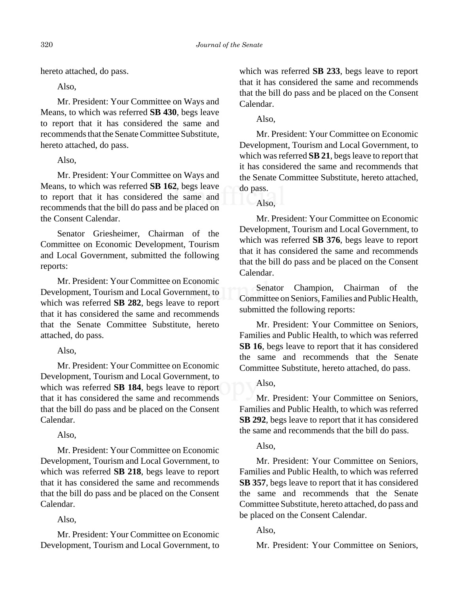hereto attached, do pass.

Also,

Mr. President: Your Committee on Ways and Means, to which was referred **SB 430**, begs leave to report that it has considered the same and recommends that the Senate Committee Substitute, hereto attached, do pass.

Also,

Mr. President: Your Committee on Ways and Means, to which was referred **SB 162**, begs leave to report that it has considered the same and recommends that the bill do pass and be placed on the Consent Calendar.

Senator Griesheimer, Chairman of the Committee on Economic Development, Tourism and Local Government, submitted the following reports:

Mr. President: Your Committee on Economic Development, Tourism and Local Government, to which was referred **SB 282**, begs leave to report that it has considered the same and recommends that the Senate Committee Substitute, hereto attached, do pass.

Also,

Mr. President: Your Committee on Economic Development, Tourism and Local Government, to which was referred **SB 184**, begs leave to report that it has considered the same and recommends that the bill do pass and be placed on the Consent Calendar.

Also,

Mr. President: Your Committee on Economic Development, Tourism and Local Government, to which was referred **SB 218**, begs leave to report that it has considered the same and recommends that the bill do pass and be placed on the Consent Calendar.

Also,

Mr. President: Your Committee on Economic Development, Tourism and Local Government, to which was referred **SB 233**, begs leave to report that it has considered the same and recommends that the bill do pass and be placed on the Consent Calendar.

Also,

Mr. President: Your Committee on Economic Development, Tourism and Local Government, to which was referred **SB 21**, begs leave to report that it has considered the same and recommends that the Senate Committee Substitute, hereto attached, do pass.

Also,

Mr. President: Your Committee on Economic Development, Tourism and Local Government, to which was referred **SB 376**, begs leave to report that it has considered the same and recommends that the bill do pass and be placed on the Consent Calendar.

Senator Champion, Chairman of the Committee on Seniors, Families and Public Health, submitted the following reports:

Mr. President: Your Committee on Seniors, Families and Public Health, to which was referred **SB 16**, begs leave to report that it has considered the same and recommends that the Senate Committee Substitute, hereto attached, do pass.

# Also,

Mr. President: Your Committee on Seniors, Families and Public Health, to which was referred **SB 292**, begs leave to report that it has considered the same and recommends that the bill do pass.

# Also,

Mr. President: Your Committee on Seniors, Families and Public Health, to which was referred **SB 357**, begs leave to report that it has considered the same and recommends that the Senate Committee Substitute, hereto attached, do pass and be placed on the Consent Calendar.

Also,

Mr. President: Your Committee on Seniors,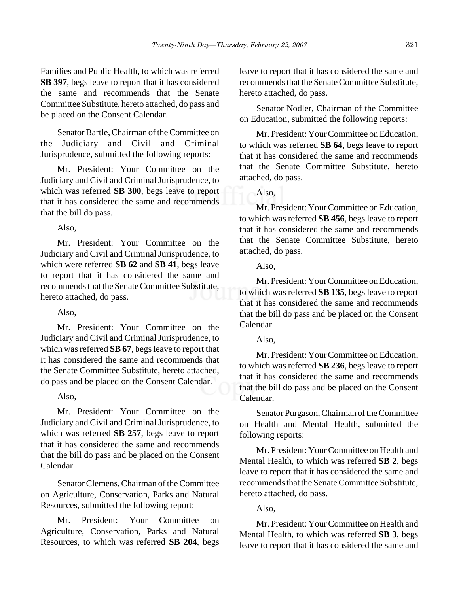Families and Public Health, to which was referred **SB 397**, begs leave to report that it has considered the same and recommends that the Senate Committee Substitute, hereto attached, do pass and be placed on the Consent Calendar.

Senator Bartle, Chairman of the Committee on the Judiciary and Civil and Criminal Jurisprudence, submitted the following reports:

Mr. President: Your Committee on the Judiciary and Civil and Criminal Jurisprudence, to which was referred **SB 300**, begs leave to report that it has considered the same and recommends that the bill do pass.

Also,

Mr. President: Your Committee on the Judiciary and Civil and Criminal Jurisprudence, to which were referred **SB 62** and **SB 41**, begs leave to report that it has considered the same and recommends that the Senate Committee Substitute, hereto attached, do pass.

Also,

Mr. President: Your Committee on the Judiciary and Civil and Criminal Jurisprudence, to which was referred **SB 67**, begs leave to report that it has considered the same and recommends that the Senate Committee Substitute, hereto attached, do pass and be placed on the Consent Calendar.

Also,

Mr. President: Your Committee on the Judiciary and Civil and Criminal Jurisprudence, to which was referred **SB 257**, begs leave to report that it has considered the same and recommends that the bill do pass and be placed on the Consent Calendar.

Senator Clemens, Chairman of the Committee on Agriculture, Conservation, Parks and Natural Resources, submitted the following report:

Mr. President: Your Committee on Agriculture, Conservation, Parks and Natural Resources, to which was referred **SB 204**, begs leave to report that it has considered the same and recommends that the Senate Committee Substitute, hereto attached, do pass.

Senator Nodler, Chairman of the Committee on Education, submitted the following reports:

Mr. President: Your Committee on Education, to which was referred **SB 64**, begs leave to report that it has considered the same and recommends that the Senate Committee Substitute, hereto attached, do pass.

Also,

Mr. President: Your Committee on Education, to which was referred **SB 456**, begs leave to report that it has considered the same and recommends that the Senate Committee Substitute, hereto attached, do pass.

Also,

Mr. President: Your Committee on Education, to which was referred **SB 135**, begs leave to report that it has considered the same and recommends that the bill do pass and be placed on the Consent Calendar.

Also,

Mr. President: Your Committee on Education, to which was referred **SB 236**, begs leave to report that it has considered the same and recommends that the bill do pass and be placed on the Consent Calendar.

Senator Purgason, Chairman of the Committee on Health and Mental Health, submitted the following reports:

Mr. President: Your Committee on Health and Mental Health, to which was referred **SB 2**, begs leave to report that it has considered the same and recommends that the Senate Committee Substitute, hereto attached, do pass.

Also,

Mr. President: Your Committee on Health and Mental Health, to which was referred **SB 3**, begs leave to report that it has considered the same and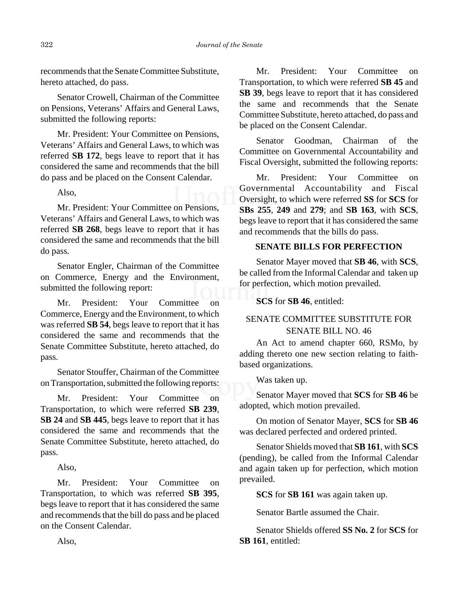recommends that the Senate Committee Substitute, hereto attached, do pass.

Senator Crowell, Chairman of the Committee on Pensions, Veterans' Affairs and General Laws, submitted the following reports:

Mr. President: Your Committee on Pensions, Veterans' Affairs and General Laws, to which was referred **SB 172**, begs leave to report that it has considered the same and recommends that the bill do pass and be placed on the Consent Calendar.

Also,

Mr. President: Your Committee on Pensions, Veterans' Affairs and General Laws, to which was referred **SB 268**, begs leave to report that it has considered the same and recommends that the bill do pass.

Senator Engler, Chairman of the Committee on Commerce, Energy and the Environment, submitted the following report:

Mr. President: Your Committee on Commerce, Energy and the Environment, to which was referred **SB 54**, begs leave to report that it has considered the same and recommends that the Senate Committee Substitute, hereto attached, do pass.

Senator Stouffer, Chairman of the Committee on Transportation, submitted the following reports:

Mr. President: Your Committee on Transportation, to which were referred **SB 239**, **SB 24** and **SB 445**, begs leave to report that it has considered the same and recommends that the Senate Committee Substitute, hereto attached, do pass.

Also,

Mr. President: Your Committee on Transportation, to which was referred **SB 395**, begs leave to report that it has considered the same and recommends that the bill do pass and be placed on the Consent Calendar.

Mr. President: Your Committee on Transportation, to which were referred **SB 45** and **SB 39**, begs leave to report that it has considered the same and recommends that the Senate Committee Substitute, hereto attached, do pass and be placed on the Consent Calendar.

Senator Goodman, Chairman of the Committee on Governmental Accountability and Fiscal Oversight, submitted the following reports:

Mr. President: Your Committee on Governmental Accountability and Fiscal Oversight, to which were referred **SS** for **SCS** for **SBs 255**, **249** and **279**; and **SB 163**, with **SCS**, begs leave to report that it has considered the same and recommends that the bills do pass.

## **SENATE BILLS FOR PERFECTION**

Senator Mayer moved that **SB 46**, with **SCS**, be called from the Informal Calendar and taken up for perfection, which motion prevailed.

**SCS** for **SB 46**, entitled:

## SENATE COMMITTEE SUBSTITUTE FOR SENATE BILL NO. 46

An Act to amend chapter 660, RSMo, by adding thereto one new section relating to faithbased organizations.

Was taken up.

Senator Mayer moved that **SCS** for **SB 46** be adopted, which motion prevailed.

On motion of Senator Mayer, **SCS** for **SB 46** was declared perfected and ordered printed.

Senator Shields moved that **SB 161**, with **SCS** (pending), be called from the Informal Calendar and again taken up for perfection, which motion prevailed.

**SCS** for **SB 161** was again taken up.

Senator Bartle assumed the Chair.

Senator Shields offered **SS No. 2** for **SCS** for **SB 161**, entitled:

Also,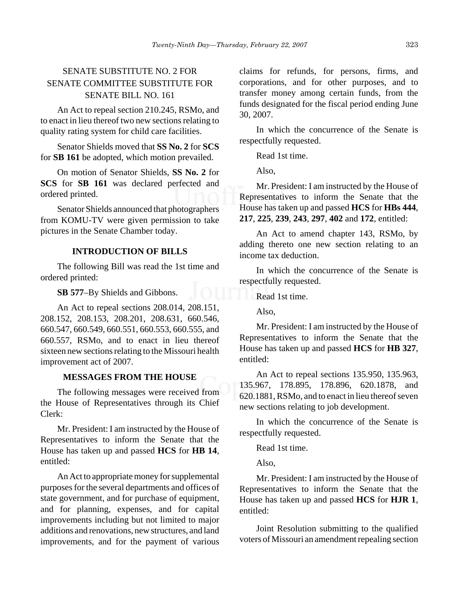# SENATE SUBSTITUTE NO. 2 FOR SENATE COMMITTEE SUBSTITUTE FOR SENATE BILL NO. 161

An Act to repeal section 210.245, RSMo, and to enact in lieu thereof two new sections relating to quality rating system for child care facilities.

Senator Shields moved that **SS No. 2** for **SCS** for **SB 161** be adopted, which motion prevailed.

On motion of Senator Shields, **SS No. 2** for **SCS** for **SB 161** was declared perfected and ordered printed.

Senator Shields announced that photographers from KOMU-TV were given permission to take pictures in the Senate Chamber today.

#### **INTRODUCTION OF BILLS**

The following Bill was read the 1st time and ordered printed:

**SB 577**–By Shields and Gibbons.

An Act to repeal sections 208.014, 208.151, 208.152, 208.153, 208.201, 208.631, 660.546, 660.547, 660.549, 660.551, 660.553, 660.555, and 660.557, RSMo, and to enact in lieu thereof sixteen new sections relating to the Missouri health improvement act of 2007.

#### **MESSAGES FROM THE HOUSE**

The following messages were received from the House of Representatives through its Chief Clerk:

Mr. President: I am instructed by the House of Representatives to inform the Senate that the House has taken up and passed **HCS** for **HB 14**, entitled:

An Act to appropriate money for supplemental purposes for the several departments and offices of state government, and for purchase of equipment, and for planning, expenses, and for capital improvements including but not limited to major additions and renovations, new structures, and land improvements, and for the payment of various

claims for refunds, for persons, firms, and corporations, and for other purposes, and to transfer money among certain funds, from the funds designated for the fiscal period ending June 30, 2007.

In which the concurrence of the Senate is respectfully requested.

Read 1st time.

Also,

Mr. President: I am instructed by the House of Representatives to inform the Senate that the House has taken up and passed **HCS** for **HBs 444**, **217**, **225**, **239**, **243**, **297**, **402** and **172**, entitled:

An Act to amend chapter 143, RSMo, by adding thereto one new section relating to an income tax deduction.

In which the concurrence of the Senate is respectfully requested.

Read 1st time.

Also,

Mr. President: I am instructed by the House of Representatives to inform the Senate that the House has taken up and passed **HCS** for **HB 327**, entitled:

An Act to repeal sections 135.950, 135.963, 135.967, 178.895, 178.896, 620.1878, and 620.1881, RSMo, and to enact in lieu thereof seven new sections relating to job development.

In which the concurrence of the Senate is respectfully requested.

Read 1st time.

Also,

Mr. President: I am instructed by the House of Representatives to inform the Senate that the House has taken up and passed **HCS** for **HJR 1**, entitled:

Joint Resolution submitting to the qualified voters of Missouri an amendment repealing section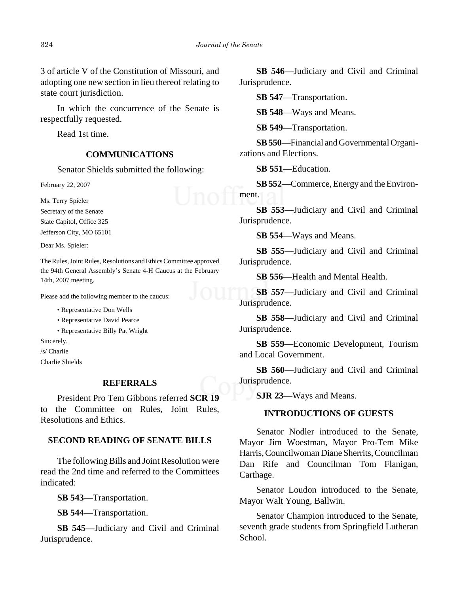3 of article V of the Constitution of Missouri, and adopting one new section in lieu thereof relating to state court jurisdiction.

In which the concurrence of the Senate is respectfully requested.

Read 1st time.

#### **COMMUNICATIONS**

Senator Shields submitted the following:

February 22, 2007

Ms. Terry Spieler Secretary of the Senate State Capitol, Office 325 Jefferson City, MO 65101

Dear Ms. Spieler:

The Rules, Joint Rules, Resolutions and Ethics Committee approved the 94th General Assembly's Senate 4-H Caucus at the February 14th, 2007 meeting.

Please add the following member to the caucus:

- Representative Don Wells
- Representative David Pearce
- Representative Billy Pat Wright

Sincerely,

/s/ Charlie

Charlie Shields

## **REFERRALS**

President Pro Tem Gibbons referred **SCR 19** to the Committee on Rules, Joint Rules, Resolutions and Ethics.

#### **SECOND READING OF SENATE BILLS**

The following Bills and Joint Resolution were read the 2nd time and referred to the Committees indicated:

**SB 543**—Transportation.

**SB 544**—Transportation.

**SB 545**—Judiciary and Civil and Criminal Jurisprudence.

**SB 546**—Judiciary and Civil and Criminal Jurisprudence.

**SB 547**—Transportation.

**SB 548**—Ways and Means.

**SB 549**—Transportation.

**SB 550**—Financial and Governmental Organizations and Elections.

**SB 551**—Education.

**SB 552**—Commerce, Energy and the Environment.

**SB 553**—Judiciary and Civil and Criminal Jurisprudence.

**SB 554**—Ways and Means.

**SB 555**—Judiciary and Civil and Criminal Jurisprudence.

**SB 556**—Health and Mental Health.

**SB 557**—Judiciary and Civil and Criminal Jurisprudence.

**SB 558**—Judiciary and Civil and Criminal Jurisprudence.

**SB 559**—Economic Development, Tourism and Local Government.

**SB 560**—Judiciary and Civil and Criminal Jurisprudence.

**SJR 23**—Ways and Means.

#### **INTRODUCTIONS OF GUESTS**

Senator Nodler introduced to the Senate, Mayor Jim Woestman, Mayor Pro-Tem Mike Harris, Councilwoman Diane Sherrits, Councilman Dan Rife and Councilman Tom Flanigan, Carthage.

Senator Loudon introduced to the Senate, Mayor Walt Young, Ballwin.

Senator Champion introduced to the Senate, seventh grade students from Springfield Lutheran School.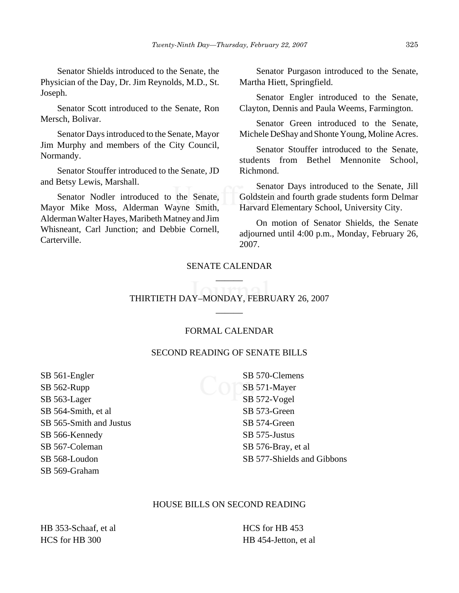Senator Shields introduced to the Senate, the Physician of the Day, Dr. Jim Reynolds, M.D., St. Joseph.

Senator Scott introduced to the Senate, Ron Mersch, Bolivar.

Senator Days introduced to the Senate, Mayor Jim Murphy and members of the City Council, Normandy.

Senator Stouffer introduced to the Senate, JD and Betsy Lewis, Marshall.

Senator Nodler introduced to the Senate, Mayor Mike Moss, Alderman Wayne Smith, Alderman Walter Hayes, Maribeth Matney and Jim Whisneant, Carl Junction; and Debbie Cornell, Carterville.

Senator Purgason introduced to the Senate, Martha Hiett, Springfield.

Senator Engler introduced to the Senate, Clayton, Dennis and Paula Weems, Farmington.

Senator Green introduced to the Senate, Michele DeShay and Shonte Young, Moline Acres.

Senator Stouffer introduced to the Senate, students from Bethel Mennonite School, Richmond.

Senator Days introduced to the Senate, Jill Goldstein and fourth grade students form Delmar Harvard Elementary School, University City.

On motion of Senator Shields, the Senate adjourned until 4:00 p.m., Monday, February 26, 2007.

### SENATE CALENDAR \_\_\_\_\_\_

## THIRTIETH DAY–MONDAY, FEBRUARY 26, 2007  $\overline{\phantom{a}}$

#### FORMAL CALENDAR

#### SECOND READING OF SENATE BILLS

SB 561-Engler SB 562-Rupp SB 563-Lager SB 564-Smith, et al SB 565-Smith and Justus SB 566-Kennedy SB 567-Coleman SB 568-Loudon SB 569-Graham

SB 570-Clemens SB 571-Mayer SB 572-Vogel SB 573-Green SB 574-Green SB 575-Justus SB 576-Bray, et al SB 577-Shields and Gibbons

#### HOUSE BILLS ON SECOND READING

HB 353-Schaaf, et al HCS for HB 300

HCS for HB 453 HB 454-Jetton, et al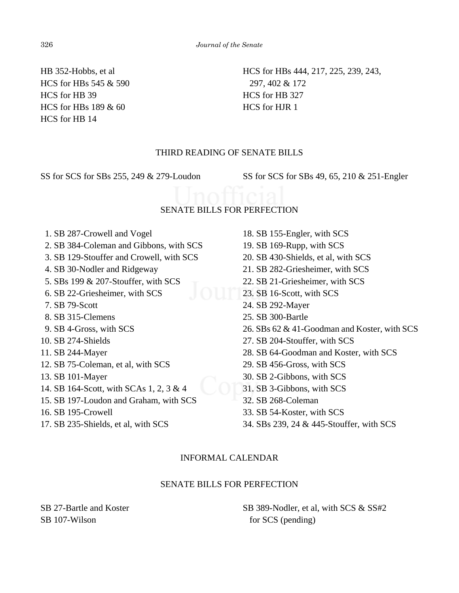HB 352-Hobbs, et al HCS for HBs 545 & 590 HCS for HB 39 HCS for HBs 189 & 60 HCS for HB 14

HCS for HBs 444, 217, 225, 239, 243, 297, 402 & 172 HCS for HB 327 HCS for HJR 1

## THIRD READING OF SENATE BILLS

SS for SCS for SBs 255, 249 & 279-Loudon SS for SCS for SBs 49, 65, 210 & 251-Engler

#### SENATE BILLS FOR PERFECTION

1. SB 287-Crowell and Vogel

- 2. SB 384-Coleman and Gibbons, with SCS
- 3. SB 129-Stouffer and Crowell, with SCS
- 4. SB 30-Nodler and Ridgeway
- 5. SBs 199 & 207-Stouffer, with SCS
- 6. SB 22-Griesheimer, with SCS
- 7. SB 79-Scott
- 8. SB 315-Clemens
- 9. SB 4-Gross, with SCS
- 10. SB 274-Shields
- 11. SB 244-Mayer
- 12. SB 75-Coleman, et al, with SCS
- 13. SB 101-Mayer
- 14. SB 164-Scott, with SCAs 1, 2, 3 & 4
- 15. SB 197-Loudon and Graham, with SCS
- 16. SB 195-Crowell
- 17. SB 235-Shields, et al, with SCS
- 18. SB 155-Engler, with SCS 19. SB 169-Rupp, with SCS 20. SB 430-Shields, et al, with SCS 21. SB 282-Griesheimer, with SCS 22. SB 21-Griesheimer, with SCS 23. SB 16-Scott, with SCS 24. SB 292-Mayer 25. SB 300-Bartle 26. SBs 62 & 41-Goodman and Koster, with SCS 27. SB 204-Stouffer, with SCS 28. SB 64-Goodman and Koster, with SCS 29. SB 456-Gross, with SCS 30. SB 2-Gibbons, with SCS 31. SB 3-Gibbons, with SCS 32. SB 268-Coleman 33. SB 54-Koster, with SCS
- 34. SBs 239, 24 & 445-Stouffer, with SCS

#### INFORMAL CALENDAR

#### SENATE BILLS FOR PERFECTION

SB 27-Bartle and Koster SB 107-Wilson

SB 389-Nodler, et al, with SCS & SS#2 for SCS (pending)